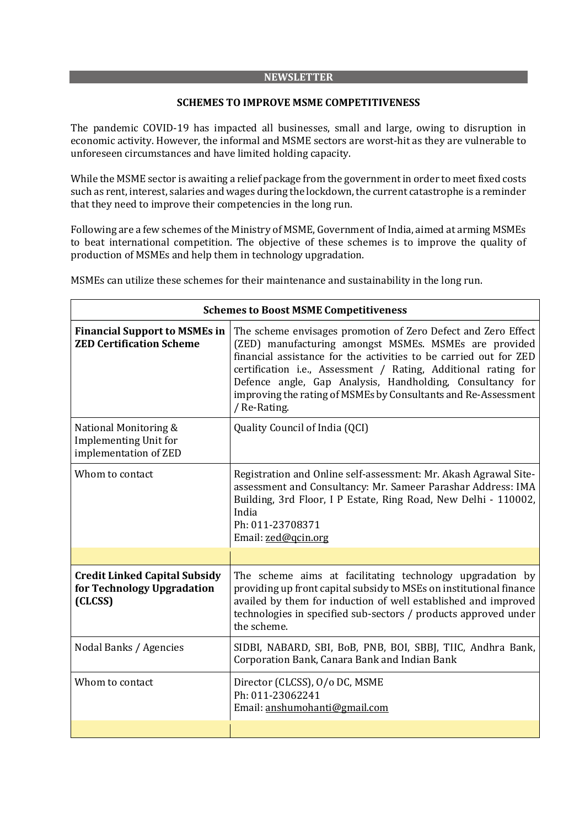#### **NEWSLETTER**

#### **SCHEMES TO IMPROVE MSME COMPETITIVENESS**

The pandemic COVID-19 has impacted all businesses, small and large, owing to disruption in economic activity. However, the informal and MSME sectors are worst-hit as they are vulnerable to unforeseen circumstances and have limited holding capacity.

While the MSME sector is awaiting a relief package from the government in order to meet fixed costs such as rent, interest, salaries and wages during the lockdown, the current catastrophe is a reminder that they need to improve their competencies in the long run.

Following are a few schemes of the Ministry of MSME, Government of India, aimed at arming MSMEs to beat international competition. The objective of these schemes is to improve the quality of production of MSMEs and help them in technology upgradation.

| <b>Schemes to Boost MSME Competitiveness</b>                                   |                                                                                                                                                                                                                                                                                                                                                                                                              |
|--------------------------------------------------------------------------------|--------------------------------------------------------------------------------------------------------------------------------------------------------------------------------------------------------------------------------------------------------------------------------------------------------------------------------------------------------------------------------------------------------------|
| <b>Financial Support to MSMEs in</b><br><b>ZED Certification Scheme</b>        | The scheme envisages promotion of Zero Defect and Zero Effect<br>(ZED) manufacturing amongst MSMEs. MSMEs are provided<br>financial assistance for the activities to be carried out for ZED<br>certification i.e., Assessment / Rating, Additional rating for<br>Defence angle, Gap Analysis, Handholding, Consultancy for<br>improving the rating of MSMEs by Consultants and Re-Assessment<br>/ Re-Rating. |
| National Monitoring &<br><b>Implementing Unit for</b><br>implementation of ZED | Quality Council of India (QCI)                                                                                                                                                                                                                                                                                                                                                                               |
| Whom to contact                                                                | Registration and Online self-assessment: Mr. Akash Agrawal Site-<br>assessment and Consultancy: Mr. Sameer Parashar Address: IMA<br>Building, 3rd Floor, I P Estate, Ring Road, New Delhi - 110002,<br>India<br>Ph: 011-23708371<br>Email: zed@qcin.org                                                                                                                                                      |
|                                                                                |                                                                                                                                                                                                                                                                                                                                                                                                              |
| <b>Credit Linked Capital Subsidy</b><br>for Technology Upgradation<br>(CLCSS)  | The scheme aims at facilitating technology upgradation by<br>providing up front capital subsidy to MSEs on institutional finance<br>availed by them for induction of well established and improved<br>technologies in specified sub-sectors / products approved under<br>the scheme.                                                                                                                         |
| Nodal Banks / Agencies                                                         | SIDBI, NABARD, SBI, BoB, PNB, BOI, SBBJ, TIIC, Andhra Bank,<br>Corporation Bank, Canara Bank and Indian Bank                                                                                                                                                                                                                                                                                                 |
| Whom to contact                                                                | Director (CLCSS), O/o DC, MSME<br>Ph: 011-23062241<br>Email: anshumohanti@gmail.com                                                                                                                                                                                                                                                                                                                          |
|                                                                                |                                                                                                                                                                                                                                                                                                                                                                                                              |

MSMEs can utilize these schemes for their maintenance and sustainability in the long run.